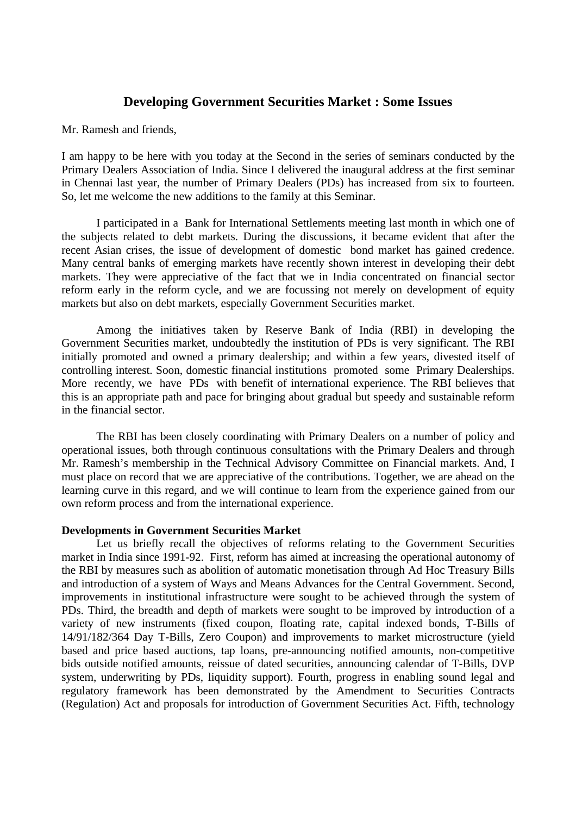# **Developing Government Securities Market : Some Issues**

Mr. Ramesh and friends,

I am happy to be here with you today at the Second in the series of seminars conducted by the Primary Dealers Association of India. Since I delivered the inaugural address at the first seminar in Chennai last year, the number of Primary Dealers (PDs) has increased from six to fourteen. So, let me welcome the new additions to the family at this Seminar.

I participated in a Bank for International Settlements meeting last month in which one of the subjects related to debt markets. During the discussions, it became evident that after the recent Asian crises, the issue of development of domestic bond market has gained credence. Many central banks of emerging markets have recently shown interest in developing their debt markets. They were appreciative of the fact that we in India concentrated on financial sector reform early in the reform cycle, and we are focussing not merely on development of equity markets but also on debt markets, especially Government Securities market.

Among the initiatives taken by Reserve Bank of India (RBI) in developing the Government Securities market, undoubtedly the institution of PDs is very significant. The RBI initially promoted and owned a primary dealership; and within a few years, divested itself of controlling interest. Soon, domestic financial institutions promoted some Primary Dealerships. More recently, we have PDs with benefit of international experience. The RBI believes that this is an appropriate path and pace for bringing about gradual but speedy and sustainable reform in the financial sector.

The RBI has been closely coordinating with Primary Dealers on a number of policy and operational issues, both through continuous consultations with the Primary Dealers and through Mr. Ramesh's membership in the Technical Advisory Committee on Financial markets. And, I must place on record that we are appreciative of the contributions. Together, we are ahead on the learning curve in this regard, and we will continue to learn from the experience gained from our own reform process and from the international experience.

# **Developments in Government Securities Market**

Let us briefly recall the objectives of reforms relating to the Government Securities market in India since 1991-92. First, reform has aimed at increasing the operational autonomy of the RBI by measures such as abolition of automatic monetisation through Ad Hoc Treasury Bills and introduction of a system of Ways and Means Advances for the Central Government. Second, improvements in institutional infrastructure were sought to be achieved through the system of PDs. Third, the breadth and depth of markets were sought to be improved by introduction of a variety of new instruments (fixed coupon, floating rate, capital indexed bonds, T-Bills of 14/91/182/364 Day T-Bills, Zero Coupon) and improvements to market microstructure (yield based and price based auctions, tap loans, pre-announcing notified amounts, non-competitive bids outside notified amounts, reissue of dated securities, announcing calendar of T-Bills, DVP system, underwriting by PDs, liquidity support). Fourth, progress in enabling sound legal and regulatory framework has been demonstrated by the Amendment to Securities Contracts (Regulation) Act and proposals for introduction of Government Securities Act. Fifth, technology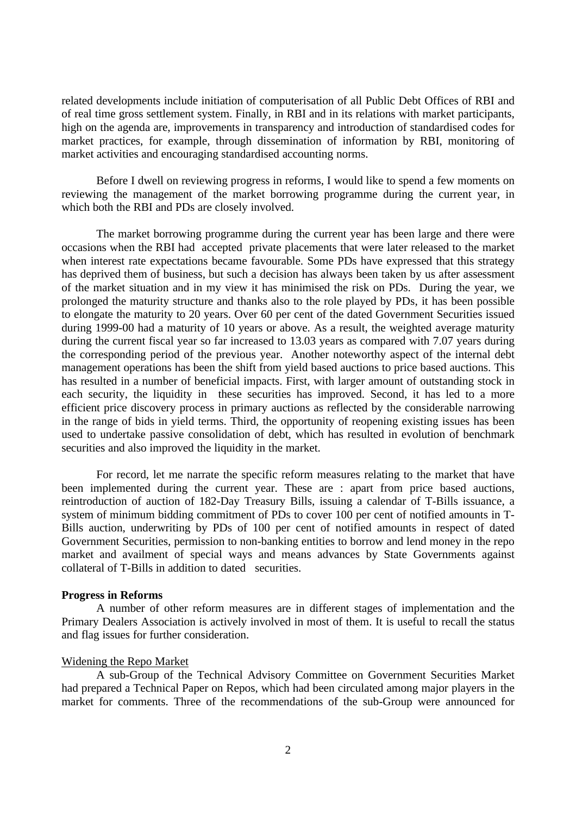related developments include initiation of computerisation of all Public Debt Offices of RBI and of real time gross settlement system. Finally, in RBI and in its relations with market participants, high on the agenda are, improvements in transparency and introduction of standardised codes for market practices, for example, through dissemination of information by RBI, monitoring of market activities and encouraging standardised accounting norms.

Before I dwell on reviewing progress in reforms, I would like to spend a few moments on reviewing the management of the market borrowing programme during the current year, in which both the RBI and PDs are closely involved.

The market borrowing programme during the current year has been large and there were occasions when the RBI had accepted private placements that were later released to the market when interest rate expectations became favourable. Some PDs have expressed that this strategy has deprived them of business, but such a decision has always been taken by us after assessment of the market situation and in my view it has minimised the risk on PDs. During the year, we prolonged the maturity structure and thanks also to the role played by PDs, it has been possible to elongate the maturity to 20 years. Over 60 per cent of the dated Government Securities issued during 1999-00 had a maturity of 10 years or above. As a result, the weighted average maturity during the current fiscal year so far increased to 13.03 years as compared with 7.07 years during the corresponding period of the previous year. Another noteworthy aspect of the internal debt management operations has been the shift from yield based auctions to price based auctions. This has resulted in a number of beneficial impacts. First, with larger amount of outstanding stock in each security, the liquidity in these securities has improved. Second, it has led to a more efficient price discovery process in primary auctions as reflected by the considerable narrowing in the range of bids in yield terms. Third, the opportunity of reopening existing issues has been used to undertake passive consolidation of debt, which has resulted in evolution of benchmark securities and also improved the liquidity in the market.

For record, let me narrate the specific reform measures relating to the market that have been implemented during the current year. These are : apart from price based auctions, reintroduction of auction of 182-Day Treasury Bills, issuing a calendar of T-Bills issuance, a system of minimum bidding commitment of PDs to cover 100 per cent of notified amounts in T-Bills auction, underwriting by PDs of 100 per cent of notified amounts in respect of dated Government Securities, permission to non-banking entities to borrow and lend money in the repo market and availment of special ways and means advances by State Governments against collateral of T-Bills in addition to dated securities.

# **Progress in Reforms**

A number of other reform measures are in different stages of implementation and the Primary Dealers Association is actively involved in most of them. It is useful to recall the status and flag issues for further consideration.

# Widening the Repo Market

A sub-Group of the Technical Advisory Committee on Government Securities Market had prepared a Technical Paper on Repos, which had been circulated among major players in the market for comments. Three of the recommendations of the sub-Group were announced for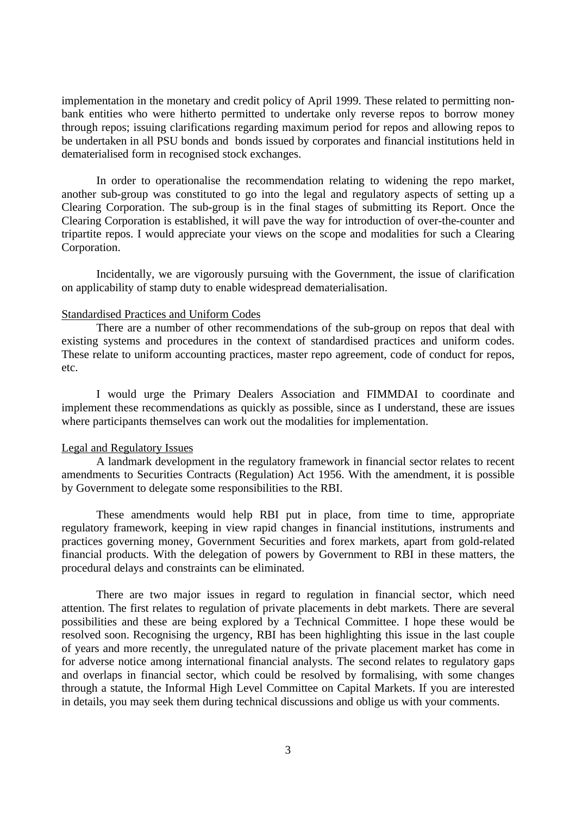implementation in the monetary and credit policy of April 1999. These related to permitting nonbank entities who were hitherto permitted to undertake only reverse repos to borrow money through repos; issuing clarifications regarding maximum period for repos and allowing repos to be undertaken in all PSU bonds and bonds issued by corporates and financial institutions held in dematerialised form in recognised stock exchanges.

In order to operationalise the recommendation relating to widening the repo market, another sub-group was constituted to go into the legal and regulatory aspects of setting up a Clearing Corporation. The sub-group is in the final stages of submitting its Report. Once the Clearing Corporation is established, it will pave the way for introduction of over-the-counter and tripartite repos. I would appreciate your views on the scope and modalities for such a Clearing Corporation.

Incidentally, we are vigorously pursuing with the Government, the issue of clarification on applicability of stamp duty to enable widespread dematerialisation.

# Standardised Practices and Uniform Codes

There are a number of other recommendations of the sub-group on repos that deal with existing systems and procedures in the context of standardised practices and uniform codes. These relate to uniform accounting practices, master repo agreement, code of conduct for repos, etc.

I would urge the Primary Dealers Association and FIMMDAI to coordinate and implement these recommendations as quickly as possible, since as I understand, these are issues where participants themselves can work out the modalities for implementation.

### Legal and Regulatory Issues

A landmark development in the regulatory framework in financial sector relates to recent amendments to Securities Contracts (Regulation) Act 1956. With the amendment, it is possible by Government to delegate some responsibilities to the RBI.

These amendments would help RBI put in place, from time to time, appropriate regulatory framework, keeping in view rapid changes in financial institutions, instruments and practices governing money, Government Securities and forex markets, apart from gold-related financial products. With the delegation of powers by Government to RBI in these matters, the procedural delays and constraints can be eliminated.

There are two major issues in regard to regulation in financial sector, which need attention. The first relates to regulation of private placements in debt markets. There are several possibilities and these are being explored by a Technical Committee. I hope these would be resolved soon. Recognising the urgency, RBI has been highlighting this issue in the last couple of years and more recently, the unregulated nature of the private placement market has come in for adverse notice among international financial analysts. The second relates to regulatory gaps and overlaps in financial sector, which could be resolved by formalising, with some changes through a statute, the Informal High Level Committee on Capital Markets. If you are interested in details, you may seek them during technical discussions and oblige us with your comments.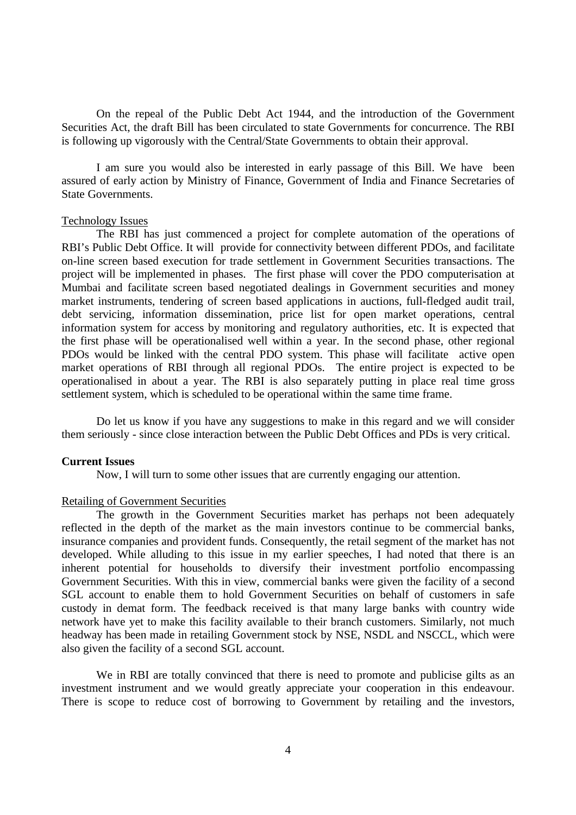On the repeal of the Public Debt Act 1944, and the introduction of the Government Securities Act, the draft Bill has been circulated to state Governments for concurrence. The RBI is following up vigorously with the Central/State Governments to obtain their approval.

I am sure you would also be interested in early passage of this Bill. We have been assured of early action by Ministry of Finance, Government of India and Finance Secretaries of State Governments.

# Technology Issues

The RBI has just commenced a project for complete automation of the operations of RBI's Public Debt Office. It will provide for connectivity between different PDOs, and facilitate on-line screen based execution for trade settlement in Government Securities transactions. The project will be implemented in phases. The first phase will cover the PDO computerisation at Mumbai and facilitate screen based negotiated dealings in Government securities and money market instruments, tendering of screen based applications in auctions, full-fledged audit trail, debt servicing, information dissemination, price list for open market operations, central information system for access by monitoring and regulatory authorities, etc. It is expected that the first phase will be operationalised well within a year. In the second phase, other regional PDOs would be linked with the central PDO system. This phase will facilitate active open market operations of RBI through all regional PDOs. The entire project is expected to be operationalised in about a year. The RBI is also separately putting in place real time gross settlement system, which is scheduled to be operational within the same time frame.

Do let us know if you have any suggestions to make in this regard and we will consider them seriously - since close interaction between the Public Debt Offices and PDs is very critical.

# **Current Issues**

Now, I will turn to some other issues that are currently engaging our attention.

#### Retailing of Government Securities

The growth in the Government Securities market has perhaps not been adequately reflected in the depth of the market as the main investors continue to be commercial banks, insurance companies and provident funds. Consequently, the retail segment of the market has not developed. While alluding to this issue in my earlier speeches, I had noted that there is an inherent potential for households to diversify their investment portfolio encompassing Government Securities. With this in view, commercial banks were given the facility of a second SGL account to enable them to hold Government Securities on behalf of customers in safe custody in demat form. The feedback received is that many large banks with country wide network have yet to make this facility available to their branch customers. Similarly, not much headway has been made in retailing Government stock by NSE, NSDL and NSCCL, which were also given the facility of a second SGL account.

We in RBI are totally convinced that there is need to promote and publicise gilts as an investment instrument and we would greatly appreciate your cooperation in this endeavour. There is scope to reduce cost of borrowing to Government by retailing and the investors,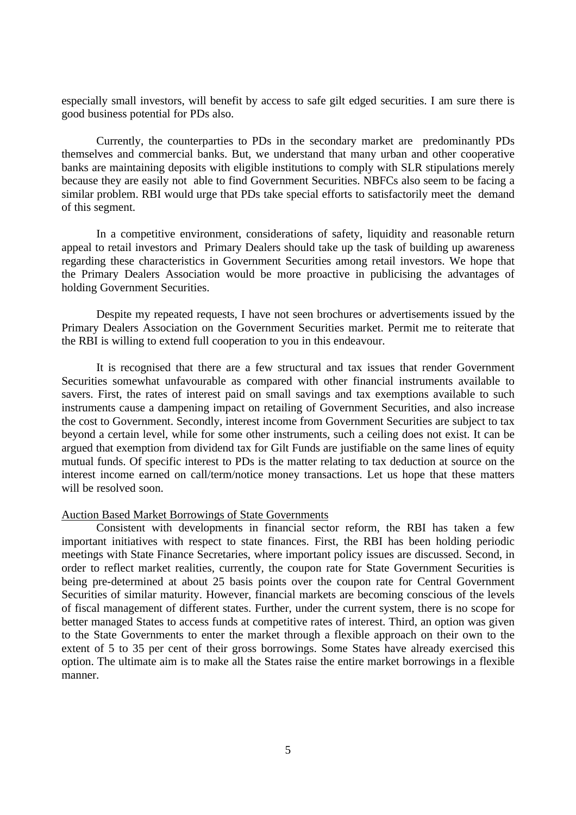especially small investors, will benefit by access to safe gilt edged securities. I am sure there is good business potential for PDs also.

Currently, the counterparties to PDs in the secondary market are predominantly PDs themselves and commercial banks. But, we understand that many urban and other cooperative banks are maintaining deposits with eligible institutions to comply with SLR stipulations merely because they are easily not able to find Government Securities. NBFCs also seem to be facing a similar problem. RBI would urge that PDs take special efforts to satisfactorily meet the demand of this segment.

In a competitive environment, considerations of safety, liquidity and reasonable return appeal to retail investors and Primary Dealers should take up the task of building up awareness regarding these characteristics in Government Securities among retail investors. We hope that the Primary Dealers Association would be more proactive in publicising the advantages of holding Government Securities.

Despite my repeated requests, I have not seen brochures or advertisements issued by the Primary Dealers Association on the Government Securities market. Permit me to reiterate that the RBI is willing to extend full cooperation to you in this endeavour.

It is recognised that there are a few structural and tax issues that render Government Securities somewhat unfavourable as compared with other financial instruments available to savers. First, the rates of interest paid on small savings and tax exemptions available to such instruments cause a dampening impact on retailing of Government Securities, and also increase the cost to Government. Secondly, interest income from Government Securities are subject to tax beyond a certain level, while for some other instruments, such a ceiling does not exist. It can be argued that exemption from dividend tax for Gilt Funds are justifiable on the same lines of equity mutual funds. Of specific interest to PDs is the matter relating to tax deduction at source on the interest income earned on call/term/notice money transactions. Let us hope that these matters will be resolved soon.

# Auction Based Market Borrowings of State Governments

Consistent with developments in financial sector reform, the RBI has taken a few important initiatives with respect to state finances. First, the RBI has been holding periodic meetings with State Finance Secretaries, where important policy issues are discussed. Second, in order to reflect market realities, currently, the coupon rate for State Government Securities is being pre-determined at about 25 basis points over the coupon rate for Central Government Securities of similar maturity. However, financial markets are becoming conscious of the levels of fiscal management of different states. Further, under the current system, there is no scope for better managed States to access funds at competitive rates of interest. Third, an option was given to the State Governments to enter the market through a flexible approach on their own to the extent of 5 to 35 per cent of their gross borrowings. Some States have already exercised this option. The ultimate aim is to make all the States raise the entire market borrowings in a flexible manner.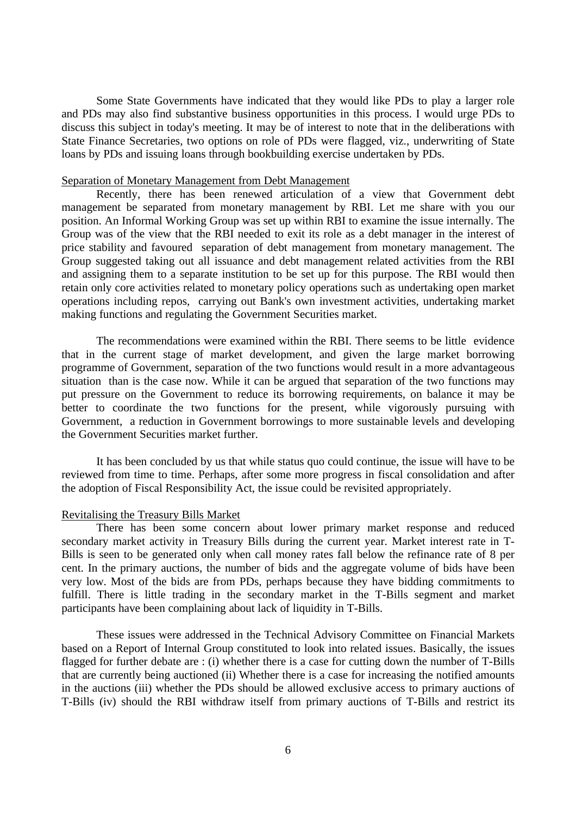Some State Governments have indicated that they would like PDs to play a larger role and PDs may also find substantive business opportunities in this process. I would urge PDs to discuss this subject in today's meeting. It may be of interest to note that in the deliberations with State Finance Secretaries, two options on role of PDs were flagged, viz., underwriting of State loans by PDs and issuing loans through bookbuilding exercise undertaken by PDs.

# Separation of Monetary Management from Debt Management

Recently, there has been renewed articulation of a view that Government debt management be separated from monetary management by RBI. Let me share with you our position. An Informal Working Group was set up within RBI to examine the issue internally. The Group was of the view that the RBI needed to exit its role as a debt manager in the interest of price stability and favoured separation of debt management from monetary management. The Group suggested taking out all issuance and debt management related activities from the RBI and assigning them to a separate institution to be set up for this purpose. The RBI would then retain only core activities related to monetary policy operations such as undertaking open market operations including repos, carrying out Bank's own investment activities, undertaking market making functions and regulating the Government Securities market.

The recommendations were examined within the RBI. There seems to be little evidence that in the current stage of market development, and given the large market borrowing programme of Government, separation of the two functions would result in a more advantageous situation than is the case now. While it can be argued that separation of the two functions may put pressure on the Government to reduce its borrowing requirements, on balance it may be better to coordinate the two functions for the present, while vigorously pursuing with Government, a reduction in Government borrowings to more sustainable levels and developing the Government Securities market further.

It has been concluded by us that while status quo could continue, the issue will have to be reviewed from time to time. Perhaps, after some more progress in fiscal consolidation and after the adoption of Fiscal Responsibility Act, the issue could be revisited appropriately.

# Revitalising the Treasury Bills Market

There has been some concern about lower primary market response and reduced secondary market activity in Treasury Bills during the current year. Market interest rate in T-Bills is seen to be generated only when call money rates fall below the refinance rate of 8 per cent. In the primary auctions, the number of bids and the aggregate volume of bids have been very low. Most of the bids are from PDs, perhaps because they have bidding commitments to fulfill. There is little trading in the secondary market in the T-Bills segment and market participants have been complaining about lack of liquidity in T-Bills.

These issues were addressed in the Technical Advisory Committee on Financial Markets based on a Report of Internal Group constituted to look into related issues. Basically, the issues flagged for further debate are : (i) whether there is a case for cutting down the number of T-Bills that are currently being auctioned (ii) Whether there is a case for increasing the notified amounts in the auctions (iii) whether the PDs should be allowed exclusive access to primary auctions of T-Bills (iv) should the RBI withdraw itself from primary auctions of T-Bills and restrict its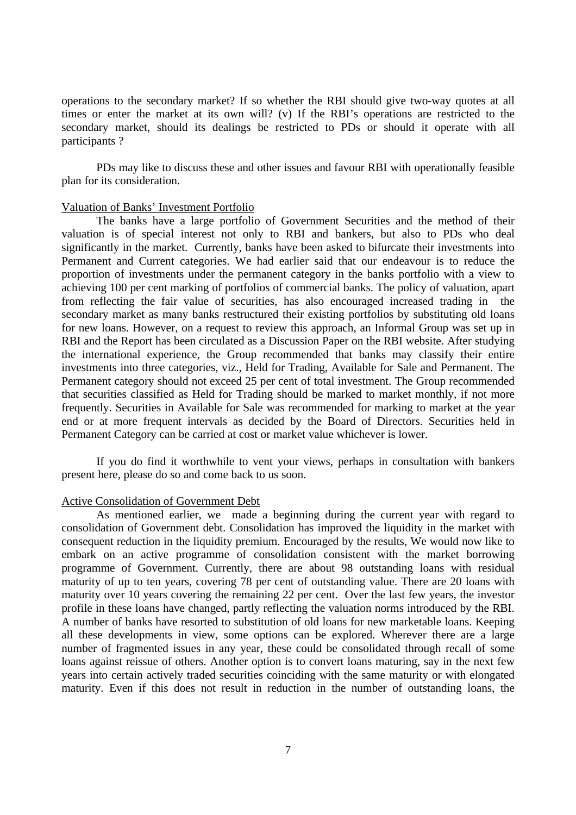operations to the secondary market? If so whether the RBI should give two-way quotes at all times or enter the market at its own will? (v) If the RBI's operations are restricted to the secondary market, should its dealings be restricted to PDs or should it operate with all participants ?

PDs may like to discuss these and other issues and favour RBI with operationally feasible plan for its consideration.

# Valuation of Banks' Investment Portfolio

The banks have a large portfolio of Government Securities and the method of their valuation is of special interest not only to RBI and bankers, but also to PDs who deal significantly in the market. Currently, banks have been asked to bifurcate their investments into Permanent and Current categories. We had earlier said that our endeavour is to reduce the proportion of investments under the permanent category in the banks portfolio with a view to achieving 100 per cent marking of portfolios of commercial banks. The policy of valuation, apart from reflecting the fair value of securities, has also encouraged increased trading in the secondary market as many banks restructured their existing portfolios by substituting old loans for new loans. However, on a request to review this approach, an Informal Group was set up in RBI and the Report has been circulated as a Discussion Paper on the RBI website. After studying the international experience, the Group recommended that banks may classify their entire investments into three categories, viz., Held for Trading, Available for Sale and Permanent. The Permanent category should not exceed 25 per cent of total investment. The Group recommended that securities classified as Held for Trading should be marked to market monthly, if not more frequently. Securities in Available for Sale was recommended for marking to market at the year end or at more frequent intervals as decided by the Board of Directors. Securities held in Permanent Category can be carried at cost or market value whichever is lower.

If you do find it worthwhile to vent your views, perhaps in consultation with bankers present here, please do so and come back to us soon.

### Active Consolidation of Government Debt

As mentioned earlier, we made a beginning during the current year with regard to consolidation of Government debt. Consolidation has improved the liquidity in the market with consequent reduction in the liquidity premium. Encouraged by the results, We would now like to embark on an active programme of consolidation consistent with the market borrowing programme of Government. Currently, there are about 98 outstanding loans with residual maturity of up to ten years, covering 78 per cent of outstanding value. There are 20 loans with maturity over 10 years covering the remaining 22 per cent. Over the last few years, the investor profile in these loans have changed, partly reflecting the valuation norms introduced by the RBI. A number of banks have resorted to substitution of old loans for new marketable loans. Keeping all these developments in view, some options can be explored. Wherever there are a large number of fragmented issues in any year, these could be consolidated through recall of some loans against reissue of others. Another option is to convert loans maturing, say in the next few years into certain actively traded securities coinciding with the same maturity or with elongated maturity. Even if this does not result in reduction in the number of outstanding loans, the